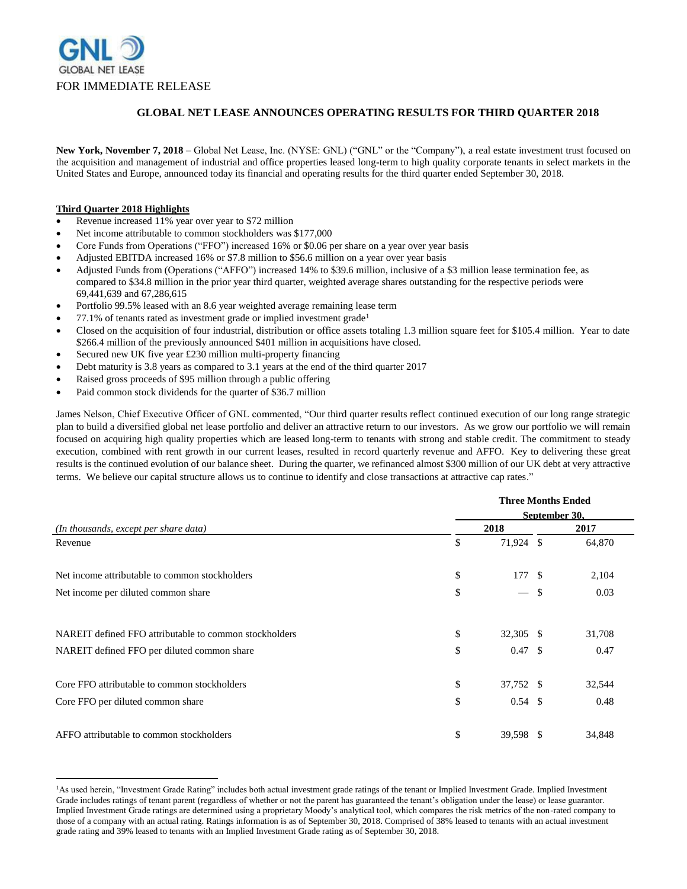

## **GLOBAL NET LEASE ANNOUNCES OPERATING RESULTS FOR THIRD QUARTER 2018**

**New York, November 7, 2018** – Global Net Lease, Inc. (NYSE: GNL) ("GNL" or the "Company"), a real estate investment trust focused on the acquisition and management of industrial and office properties leased long-term to high quality corporate tenants in select markets in the United States and Europe, announced today its financial and operating results for the third quarter ended September 30, 2018.

### **Third Quarter 2018 Highlights**

 $\overline{a}$ 

- Revenue increased 11% year over year to \$72 million
- Net income attributable to common stockholders was \$177,000
- Core Funds from Operations ("FFO") increased 16% or \$0.06 per share on a year over year basis
- Adjusted EBITDA increased 16% or \$7.8 million to \$56.6 million on a year over year basis
- Adjusted Funds from (Operations ("AFFO") increased 14% to \$39.6 million, inclusive of a \$3 million lease termination fee, as compared to \$34.8 million in the prior year third quarter, weighted average shares outstanding for the respective periods were 69,441,639 and 67,286,615
- Portfolio 99.5% leased with an 8.6 year weighted average remaining lease term
- 77.1% of tenants rated as investment grade or implied investment grade<sup>1</sup>
- Closed on the acquisition of four industrial, distribution or office assets totaling 1.3 million square feet for \$105.4 million. Year to date \$266.4 million of the previously announced \$401 million in acquisitions have closed.
- Secured new UK five year £230 million multi-property financing
- Debt maturity is 3.8 years as compared to 3.1 years at the end of the third quarter 2017
- Raised gross proceeds of \$95 million through a public offering
- Paid common stock dividends for the quarter of \$36.7 million

James Nelson, Chief Executive Officer of GNL commented, "Our third quarter results reflect continued execution of our long range strategic plan to build a diversified global net lease portfolio and deliver an attractive return to our investors. As we grow our portfolio we will remain focused on acquiring high quality properties which are leased long-term to tenants with strong and stable credit. The commitment to steady execution, combined with rent growth in our current leases, resulted in record quarterly revenue and AFFO. Key to delivering these great results is the continued evolution of our balance sheet. During the quarter, we refinanced almost \$300 million of our UK debt at very attractive terms. We believe our capital structure allows us to continue to identify and close transactions at attractive cap rates."

|                                                        | <b>Three Months Ended</b><br>September 30, |                          |      |        |
|--------------------------------------------------------|--------------------------------------------|--------------------------|------|--------|
|                                                        |                                            |                          |      |        |
| (In thousands, except per share data)                  | 2018                                       |                          | 2017 |        |
| Revenue                                                | \$                                         | 71,924 \$                |      | 64,870 |
| Net income attributable to common stockholders         | \$                                         | 177 \$                   |      | 2,104  |
| Net income per diluted common share                    | \$                                         | $\overline{\phantom{m}}$ | \$   | 0.03   |
| NAREIT defined FFO attributable to common stockholders | \$                                         | 32,305 \$                |      | 31,708 |
| NAREIT defined FFO per diluted common share            | \$                                         | $0.47 \text{ }$ \$       |      | 0.47   |
| Core FFO attributable to common stockholders           | \$                                         | 37,752 \$                |      | 32,544 |
| Core FFO per diluted common share                      | \$                                         | $0.54 \text{ } $s$       |      | 0.48   |
| AFFO attributable to common stockholders               | \$                                         | 39,598 \$                |      | 34,848 |

<sup>&</sup>lt;sup>1</sup>As used herein, "Investment Grade Rating" includes both actual investment grade ratings of the tenant or Implied Investment Grade. Implied Investment Grade includes ratings of tenant parent (regardless of whether or not the parent has guaranteed the tenant's obligation under the lease) or lease guarantor. Implied Investment Grade ratings are determined using a proprietary Moody's analytical tool, which compares the risk metrics of the non-rated company to those of a company with an actual rating. Ratings information is as of September 30, 2018. Comprised of 38% leased to tenants with an actual investment grade rating and 39% leased to tenants with an Implied Investment Grade rating as of September 30, 2018.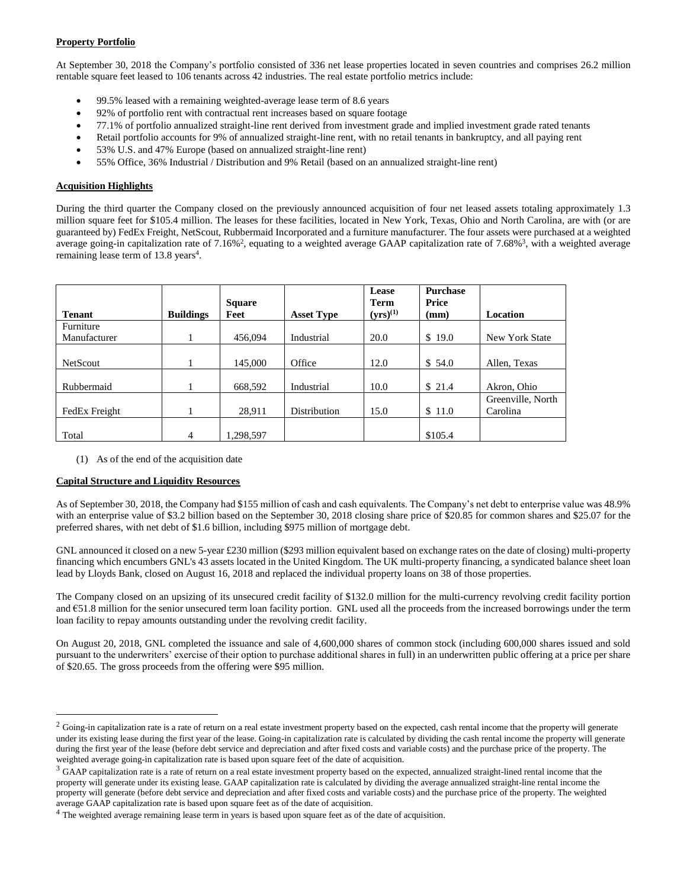# **Property Portfolio**

At September 30, 2018 the Company's portfolio consisted of 336 net lease properties located in seven countries and comprises 26.2 million rentable square feet leased to 106 tenants across 42 industries. The real estate portfolio metrics include:

- 99.5% leased with a remaining weighted-average lease term of 8.6 years
- 92% of portfolio rent with contractual rent increases based on square footage
- 77.1% of portfolio annualized straight-line rent derived from investment grade and implied investment grade rated tenants
- Retail portfolio accounts for 9% of annualized straight-line rent, with no retail tenants in bankruptcy, and all paying rent
- 53% U.S. and 47% Europe (based on annualized straight-line rent)
- 55% Office, 36% Industrial / Distribution and 9% Retail (based on an annualized straight-line rent)

### **Acquisition Highlights**

During the third quarter the Company closed on the previously announced acquisition of four net leased assets totaling approximately 1.3 million square feet for \$105.4 million. The leases for these facilities, located in New York, Texas, Ohio and North Carolina, are with (or are guaranteed by) FedEx Freight, NetScout, Rubbermaid Incorporated and a furniture manufacturer. The four assets were purchased at a weighted average going-in capitalization rate of 7.16%<sup>2</sup>, equating to a weighted average GAAP capitalization rate of 7.68%<sup>3</sup>, with a weighted average remaining lease term of 13.8 years<sup>4</sup>.

|                 |                  | <b>Square</b> |                     | Lease<br><b>Term</b> | <b>Purchase</b><br>Price |                   |
|-----------------|------------------|---------------|---------------------|----------------------|--------------------------|-------------------|
| <b>Tenant</b>   | <b>Buildings</b> | Feet          | <b>Asset Type</b>   | $(yrs)^{(1)}$        | (mm)                     | <b>Location</b>   |
| Furniture       |                  |               |                     |                      |                          |                   |
| Manufacturer    |                  | 456,094       | Industrial          | 20.0                 | \$19.0                   | New York State    |
|                 |                  |               |                     |                      |                          |                   |
| <b>NetScout</b> |                  | 145,000       | Office              | 12.0                 | \$54.0                   | Allen, Texas      |
|                 |                  |               |                     |                      |                          |                   |
| Rubbermaid      |                  | 668,592       | Industrial          | 10.0                 | \$21.4                   | Akron, Ohio       |
|                 |                  |               |                     |                      |                          | Greenville, North |
| FedEx Freight   | L                | 28,911        | <b>Distribution</b> | 15.0                 | \$11.0                   | Carolina          |
|                 |                  |               |                     |                      |                          |                   |
| Total           | $\overline{4}$   | 1,298,597     |                     |                      | \$105.4                  |                   |

(1) As of the end of the acquisition date

### **Capital Structure and Liquidity Resources**

 $\overline{a}$ 

As of September 30, 2018, the Company had \$155 million of cash and cash equivalents. The Company's net debt to enterprise value was 48.9% with an enterprise value of \$3.2 billion based on the September 30, 2018 closing share price of \$20.85 for common shares and \$25.07 for the preferred shares, with net debt of \$1.6 billion, including \$975 million of mortgage debt.

GNL announced it closed on a new 5-year £230 million (\$293 million equivalent based on exchange rates on the date of closing) multi-property financing which encumbers GNL's 43 assets located in the United Kingdom. The UK multi-property financing, a syndicated balance sheet loan lead by Lloyds Bank, closed on August 16, 2018 and replaced the individual property loans on 38 of those properties.

The Company closed on an upsizing of its unsecured credit facility of \$132.0 million for the multi-currency revolving credit facility portion and €51.8 million for the senior unsecured term loan facility portion. GNL used all the proceeds from the increased borrowings under the term loan facility to repay amounts outstanding under the revolving credit facility.

On August 20, 2018, GNL completed the issuance and sale of 4,600,000 shares of common stock (including 600,000 shares issued and sold pursuant to the underwriters' exercise of their option to purchase additional shares in full) in an underwritten public offering at a price per share of \$20.65. The gross proceeds from the offering were \$95 million.

 $2$  Going-in capitalization rate is a rate of return on a real estate investment property based on the expected, cash rental income that the property will generate under its existing lease during the first year of the lease. Going-in capitalization rate is calculated by dividing the cash rental income the property will generate during the first year of the lease (before debt service and depreciation and after fixed costs and variable costs) and the purchase price of the property. The weighted average going-in capitalization rate is based upon square feet of the date of acquisition.

<sup>&</sup>lt;sup>3</sup> GAAP capitalization rate is a rate of return on a real estate investment property based on the expected, annualized straight-lined rental income that the property will generate under its existing lease. GAAP capitalization rate is calculated by dividing the average annualized straight-line rental income the property will generate (before debt service and depreciation and after fixed costs and variable costs) and the purchase price of the property. The weighted average GAAP capitalization rate is based upon square feet as of the date of acquisition.

<sup>&</sup>lt;sup>4</sup> The weighted average remaining lease term in years is based upon square feet as of the date of acquisition.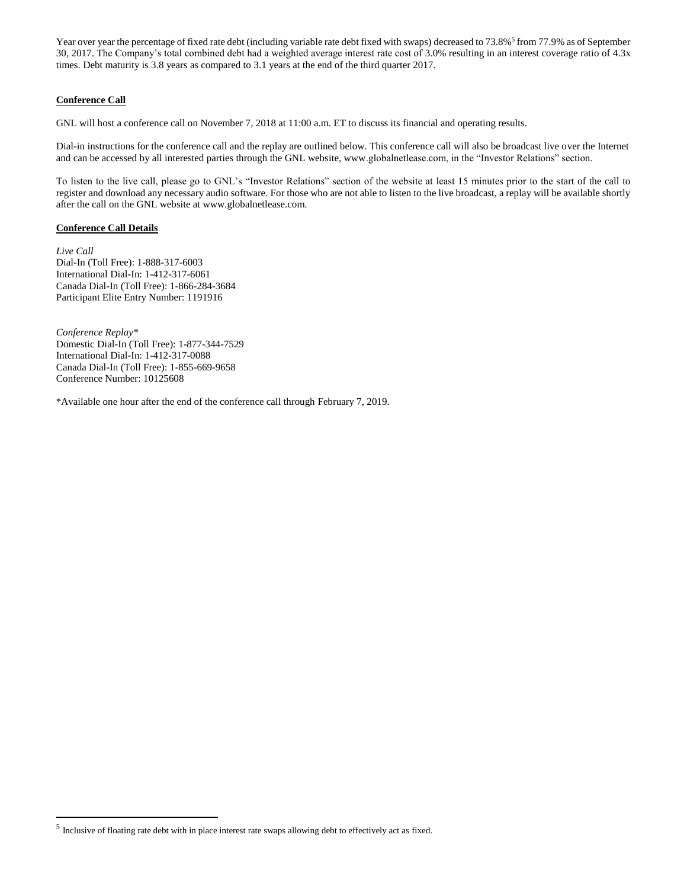Year over year the percentage of fixed rate debt (including variable rate debt fixed with swaps) decreased to 73.8%<sup>5</sup> from 77.9% as of September 30, 2017. The Company's total combined debt had a weighted average interest rate cost of 3.0% resulting in an interest coverage ratio of 4.3x times. Debt maturity is 3.8 years as compared to 3.1 years at the end of the third quarter 2017.

## **Conference Call**

GNL will host a conference call on November 7, 2018 at 11:00 a.m. ET to discuss its financial and operating results.

Dial-in instructions for the conference call and the replay are outlined below. This conference call will also be broadcast live over the Internet and can be accessed by all interested parties through the GNL website, www.globalnetlease.com, in the "Investor Relations" section.

To listen to the live call, please go to GNL's "Investor Relations" section of the website at least 15 minutes prior to the start of the call to register and download any necessary audio software. For those who are not able to listen to the live broadcast, a replay will be available shortly after the call on the GNL website at www.globalnetlease.com.

## **Conference Call Details**

 $\overline{a}$ 

*Live Call* Dial-In (Toll Free): 1-888-317-6003 International Dial-In: 1-412-317-6061 Canada Dial-In (Toll Free): 1-866-284-3684 Participant Elite Entry Number: 1191916

*Conference Replay\** Domestic Dial-In (Toll Free): 1-877-344-7529 International Dial-In: 1-412-317-0088 Canada Dial-In (Toll Free): 1-855-669-9658 Conference Number: 10125608

\*Available one hour after the end of the conference call through February 7, 2019.

 $<sup>5</sup>$  Inclusive of floating rate debt with in place interest rate swaps allowing debt to effectively act as fixed.</sup>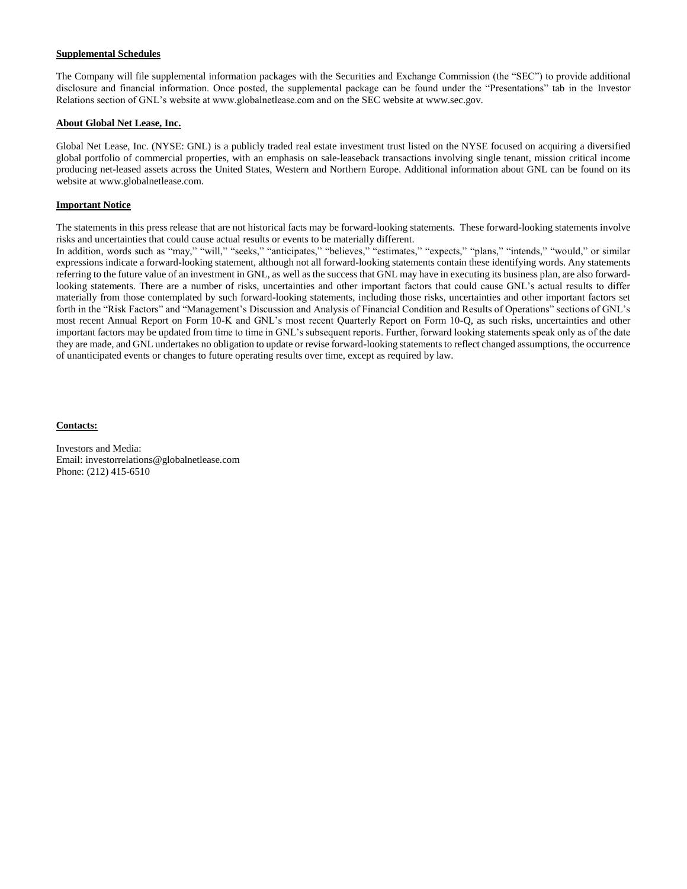### **Supplemental Schedules**

The Company will file supplemental information packages with the Securities and Exchange Commission (the "SEC") to provide additional disclosure and financial information. Once posted, the supplemental package can be found under the "Presentations" tab in the Investor Relations section of GNL's website at www.globalnetlease.com and on the SEC website at www.sec.gov.

### **About Global Net Lease, Inc.**

Global Net Lease, Inc. (NYSE: GNL) is a publicly traded real estate investment trust listed on the NYSE focused on acquiring a diversified global portfolio of commercial properties, with an emphasis on sale-leaseback transactions involving single tenant, mission critical income producing net-leased assets across the United States, Western and Northern Europe. Additional information about GNL can be found on its website at www.globalnetlease.com.

### **Important Notice**

The statements in this press release that are not historical facts may be forward-looking statements. These forward-looking statements involve risks and uncertainties that could cause actual results or events to be materially different.

In addition, words such as "may," "will," "seeks," "anticipates," "believes," "estimates," "expects," "plans," "intends," "would," or similar expressions indicate a forward-looking statement, although not all forward-looking statements contain these identifying words. Any statements referring to the future value of an investment in GNL, as well as the success that GNL may have in executing its business plan, are also forwardlooking statements. There are a number of risks, uncertainties and other important factors that could cause GNL's actual results to differ materially from those contemplated by such forward-looking statements, including those risks, uncertainties and other important factors set forth in the "Risk Factors" and "Management's Discussion and Analysis of Financial Condition and Results of Operations" sections of GNL's most recent Annual Report on Form 10-K and GNL's most recent Quarterly Report on Form 10-Q, as such risks, uncertainties and other important factors may be updated from time to time in GNL's subsequent reports. Further, forward looking statements speak only as of the date they are made, and GNL undertakes no obligation to update or revise forward-looking statements to reflect changed assumptions, the occurrence of unanticipated events or changes to future operating results over time, except as required by law.

#### **Contacts:**

Investors and Media: Email: investorrelations@globalnetlease.com Phone: (212) 415-6510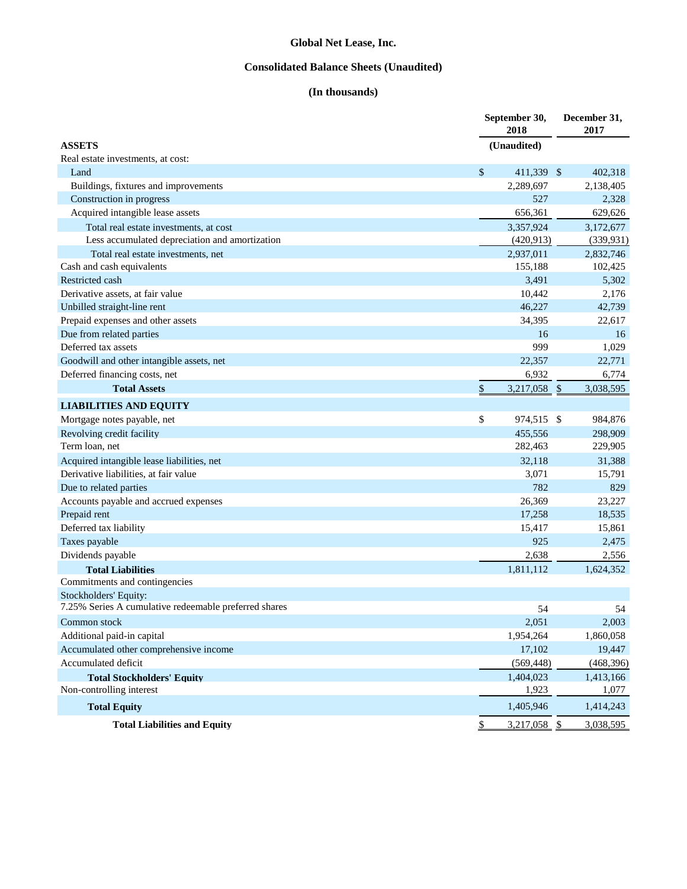# **Consolidated Balance Sheets (Unaudited)**

# **(In thousands)**

|                                                       | September 30,<br>2018           | December 31,<br>2017 |  |
|-------------------------------------------------------|---------------------------------|----------------------|--|
| <b>ASSETS</b>                                         | (Unaudited)                     |                      |  |
| Real estate investments, at cost:                     |                                 |                      |  |
| Land                                                  | \$<br>411,339 \$                | 402,318              |  |
| Buildings, fixtures and improvements                  | 2,289,697                       | 2,138,405            |  |
| Construction in progress                              | 527                             | 2,328                |  |
| Acquired intangible lease assets                      | 656,361                         | 629,626              |  |
| Total real estate investments, at cost                | 3.357.924                       | 3,172,677            |  |
| Less accumulated depreciation and amortization        | (420, 913)                      | (339, 931)           |  |
| Total real estate investments, net                    | 2.937.011                       | 2,832,746            |  |
| Cash and cash equivalents                             | 155,188                         | 102,425              |  |
| Restricted cash                                       | 3,491                           | 5,302                |  |
| Derivative assets, at fair value                      | 10,442                          | 2,176                |  |
| Unbilled straight-line rent                           | 46,227                          | 42,739               |  |
| Prepaid expenses and other assets                     | 34,395                          | 22,617               |  |
| Due from related parties                              | 16                              | 16                   |  |
| Deferred tax assets                                   | 999                             | 1,029                |  |
| Goodwill and other intangible assets, net             | 22,357                          | 22,771               |  |
| Deferred financing costs, net                         | 6,932                           | 6,774                |  |
| <b>Total Assets</b>                                   | $\frac{1}{2}$<br>$3,217,058$ \$ | 3,038,595            |  |
| <b>LIABILITIES AND EQUITY</b>                         |                                 |                      |  |
| Mortgage notes payable, net                           | \$<br>974,515 \$                | 984,876              |  |
| Revolving credit facility                             | 455.556                         | 298,909              |  |
| Term loan, net                                        | 282,463                         | 229,905              |  |
| Acquired intangible lease liabilities, net            | 32,118                          | 31,388               |  |
| Derivative liabilities, at fair value                 | 3,071                           | 15,791               |  |
| Due to related parties                                | 782                             | 829                  |  |
| Accounts payable and accrued expenses                 | 26,369                          | 23,227               |  |
| Prepaid rent                                          | 17,258                          | 18,535               |  |
| Deferred tax liability                                | 15,417                          | 15,861               |  |
| Taxes payable                                         | 925                             | 2,475                |  |
| Dividends payable                                     | 2,638                           | 2,556                |  |
| <b>Total Liabilities</b>                              | 1,811,112                       | 1,624,352            |  |
| Commitments and contingencies                         |                                 |                      |  |
| Stockholders' Equity:                                 |                                 |                      |  |
| 7.25% Series A cumulative redeemable preferred shares | 54                              | 54                   |  |
| Common stock                                          | 2,051                           | 2,003                |  |
| Additional paid-in capital                            | 1,954,264                       | 1,860,058            |  |
| Accumulated other comprehensive income                | 17,102                          | 19,447               |  |
| Accumulated deficit                                   | (569, 448)                      | (468, 396)           |  |
| <b>Total Stockholders' Equity</b>                     | 1,404,023                       | 1,413,166            |  |
| Non-controlling interest                              | 1,923                           | 1,077                |  |
| <b>Total Equity</b>                                   | 1,405,946                       | 1,414,243            |  |
| <b>Total Liabilities and Equity</b>                   | $\mathcal{S}$<br>3,217,058 \$   | 3,038,595            |  |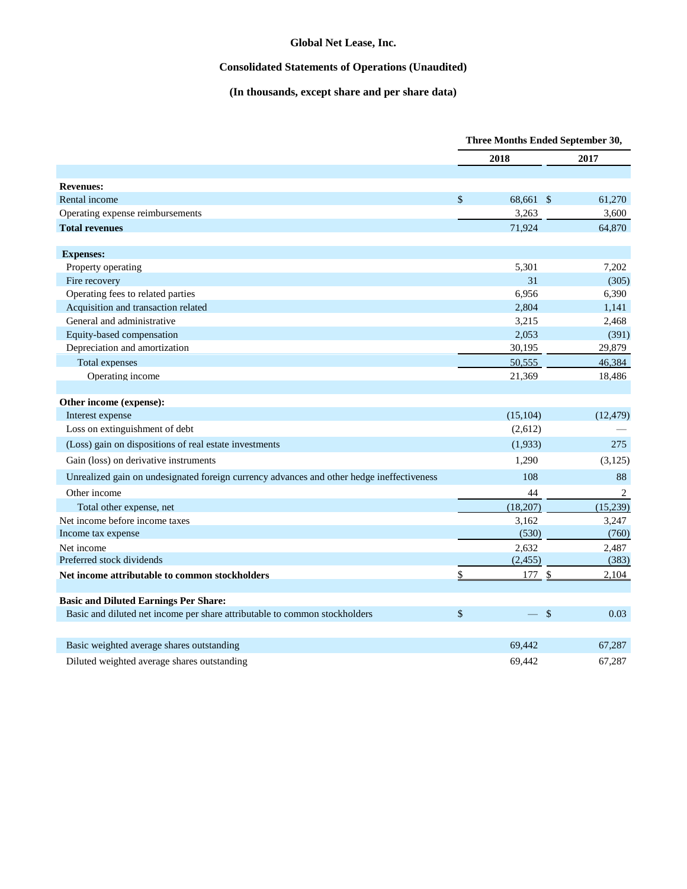# **Consolidated Statements of Operations (Unaudited)**

# **(In thousands, except share and per share data)**

|                                                                                           | Three Months Ended September 30, |           |                |
|-------------------------------------------------------------------------------------------|----------------------------------|-----------|----------------|
|                                                                                           |                                  | 2018      | 2017           |
| <b>Revenues:</b>                                                                          |                                  |           |                |
| Rental income                                                                             | $\mathsf{\$}$                    | 68,661 \$ | 61,270         |
| Operating expense reimbursements                                                          |                                  | 3,263     | 3,600          |
| <b>Total revenues</b>                                                                     |                                  | 71,924    | 64,870         |
| <b>Expenses:</b>                                                                          |                                  |           |                |
| Property operating                                                                        |                                  | 5,301     | 7,202          |
| Fire recovery                                                                             |                                  | 31        | (305)          |
| Operating fees to related parties                                                         |                                  | 6,956     | 6,390          |
| Acquisition and transaction related                                                       |                                  | 2,804     | 1,141          |
| General and administrative                                                                |                                  | 3,215     | 2,468          |
| Equity-based compensation                                                                 |                                  | 2,053     | (391)          |
| Depreciation and amortization                                                             |                                  | 30,195    | 29,879         |
| <b>Total expenses</b>                                                                     |                                  | 50.555    | 46,384         |
| Operating income                                                                          |                                  | 21.369    | 18,486         |
|                                                                                           |                                  |           |                |
| Other income (expense):                                                                   |                                  |           |                |
| Interest expense                                                                          |                                  | (15, 104) | (12, 479)      |
| Loss on extinguishment of debt                                                            |                                  | (2,612)   |                |
| (Loss) gain on dispositions of real estate investments                                    |                                  | (1,933)   | 275            |
| Gain (loss) on derivative instruments                                                     |                                  | 1,290     | (3, 125)       |
| Unrealized gain on undesignated foreign currency advances and other hedge ineffectiveness |                                  | 108       | 88             |
| Other income                                                                              |                                  | 44        | $\overline{2}$ |
| Total other expense, net                                                                  |                                  | (18,207)  | (15,239)       |
| Net income before income taxes                                                            |                                  | 3,162     | 3,247          |
| Income tax expense                                                                        |                                  | (530)     | (760)          |
| Net income                                                                                |                                  | 2,632     | 2,487          |
| Preferred stock dividends                                                                 |                                  | (2, 455)  | (383)          |
| Net income attributable to common stockholders                                            | \$                               | 177S      | 2,104          |
| <b>Basic and Diluted Earnings Per Share:</b>                                              |                                  |           |                |
| Basic and diluted net income per share attributable to common stockholders                | $\mathcal{S}$                    | $-$ \$    | 0.03           |
| Basic weighted average shares outstanding                                                 |                                  | 69,442    | 67,287         |
| Diluted weighted average shares outstanding                                               |                                  | 69,442    | 67,287         |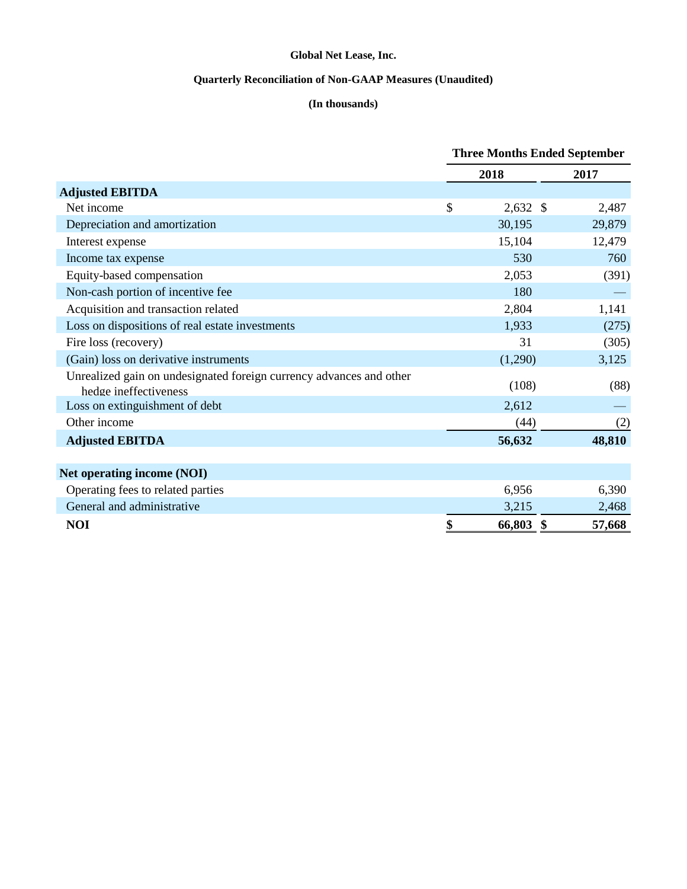# **Quarterly Reconciliation of Non-GAAP Measures (Unaudited)**

# **(In thousands)**

|                                                                                              | <b>Three Months Ended September</b> |              |        |  |
|----------------------------------------------------------------------------------------------|-------------------------------------|--------------|--------|--|
|                                                                                              |                                     | 2018         | 2017   |  |
| <b>Adjusted EBITDA</b>                                                                       |                                     |              |        |  |
| Net income                                                                                   | \$                                  | $2,632$ \$   | 2,487  |  |
| Depreciation and amortization                                                                |                                     | 30,195       | 29,879 |  |
| Interest expense                                                                             |                                     | 15,104       | 12,479 |  |
| Income tax expense                                                                           |                                     | 530          | 760    |  |
| Equity-based compensation                                                                    |                                     | 2,053        | (391)  |  |
| Non-cash portion of incentive fee                                                            |                                     | 180          |        |  |
| Acquisition and transaction related                                                          |                                     | 2,804        | 1,141  |  |
| Loss on dispositions of real estate investments                                              |                                     | 1,933        | (275)  |  |
| Fire loss (recovery)                                                                         |                                     | 31           | (305)  |  |
| (Gain) loss on derivative instruments                                                        |                                     | (1,290)      | 3,125  |  |
| Unrealized gain on undesignated foreign currency advances and other<br>hedge ineffectiveness |                                     | (108)        | (88)   |  |
| Loss on extinguishment of debt                                                               |                                     | 2,612        |        |  |
| Other income                                                                                 |                                     | (44)         | (2)    |  |
| <b>Adjusted EBITDA</b>                                                                       |                                     | 56,632       | 48,810 |  |
| <b>Net operating income (NOI)</b>                                                            |                                     |              |        |  |
| Operating fees to related parties                                                            |                                     | 6,956        | 6,390  |  |
| General and administrative                                                                   |                                     | 3,215        | 2,468  |  |
| <b>NOI</b>                                                                                   | \$                                  | 66,803<br>\$ | 57,668 |  |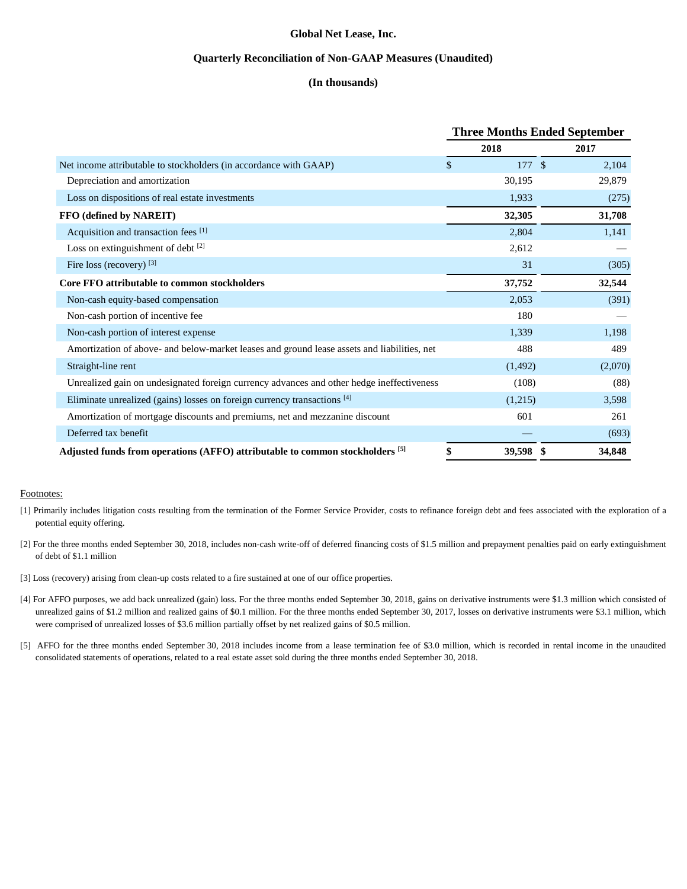### **Quarterly Reconciliation of Non-GAAP Measures (Unaudited)**

## **(In thousands)**

|                                                                                             | <b>Three Months Ended September</b> |          |     |         |
|---------------------------------------------------------------------------------------------|-------------------------------------|----------|-----|---------|
|                                                                                             |                                     | 2018     |     | 2017    |
| Net income attributable to stockholders (in accordance with GAAP)                           | \$                                  | 177S     |     | 2,104   |
| Depreciation and amortization                                                               |                                     | 30,195   |     | 29,879  |
| Loss on dispositions of real estate investments                                             |                                     | 1,933    |     | (275)   |
| FFO (defined by NAREIT)                                                                     |                                     | 32,305   |     | 31,708  |
| Acquisition and transaction fees [1]                                                        |                                     | 2,804    |     | 1,141   |
| Loss on extinguishment of debt [2]                                                          |                                     | 2,612    |     |         |
| Fire loss (recovery) [3]                                                                    |                                     | 31       |     | (305)   |
| Core FFO attributable to common stockholders                                                |                                     | 37,752   |     | 32,544  |
| Non-cash equity-based compensation                                                          |                                     | 2,053    |     | (391)   |
| Non-cash portion of incentive fee                                                           |                                     | 180      |     |         |
| Non-cash portion of interest expense                                                        |                                     | 1,339    |     | 1,198   |
| Amortization of above- and below-market leases and ground lease assets and liabilities, net |                                     | 488      |     | 489     |
| Straight-line rent                                                                          |                                     | (1, 492) |     | (2,070) |
| Unrealized gain on undesignated foreign currency advances and other hedge ineffectiveness   |                                     | (108)    |     | (88)    |
| Eliminate unrealized (gains) losses on foreign currency transactions [4]                    |                                     | (1,215)  |     | 3,598   |
| Amortization of mortgage discounts and premiums, net and mezzanine discount                 |                                     | 601      |     | 261     |
| Deferred tax benefit                                                                        |                                     |          |     | (693)   |
| Adjusted funds from operations (AFFO) attributable to common stockholders [5]               | \$                                  | 39,598   | -\$ | 34,848  |

### Footnotes:

- [1] Primarily includes litigation costs resulting from the termination of the Former Service Provider, costs to refinance foreign debt and fees associated with the exploration of a potential equity offering.
- [2] For the three months ended September 30, 2018, includes non-cash write-off of deferred financing costs of \$1.5 million and prepayment penalties paid on early extinguishment of debt of \$1.1 million
- [3] Loss (recovery) arising from clean-up costs related to a fire sustained at one of our office properties.
- [4] For AFFO purposes, we add back unrealized (gain) loss. For the three months ended September 30, 2018, gains on derivative instruments were \$1.3 million which consisted of unrealized gains of \$1.2 million and realized gains of \$0.1 million. For the three months ended September 30, 2017, losses on derivative instruments were \$3.1 million, which were comprised of unrealized losses of \$3.6 million partially offset by net realized gains of \$0.5 million.
- [5] AFFO for the three months ended September 30, 2018 includes income from a lease termination fee of \$3.0 million, which is recorded in rental income in the unaudited consolidated statements of operations, related to a real estate asset sold during the three months ended September 30, 2018.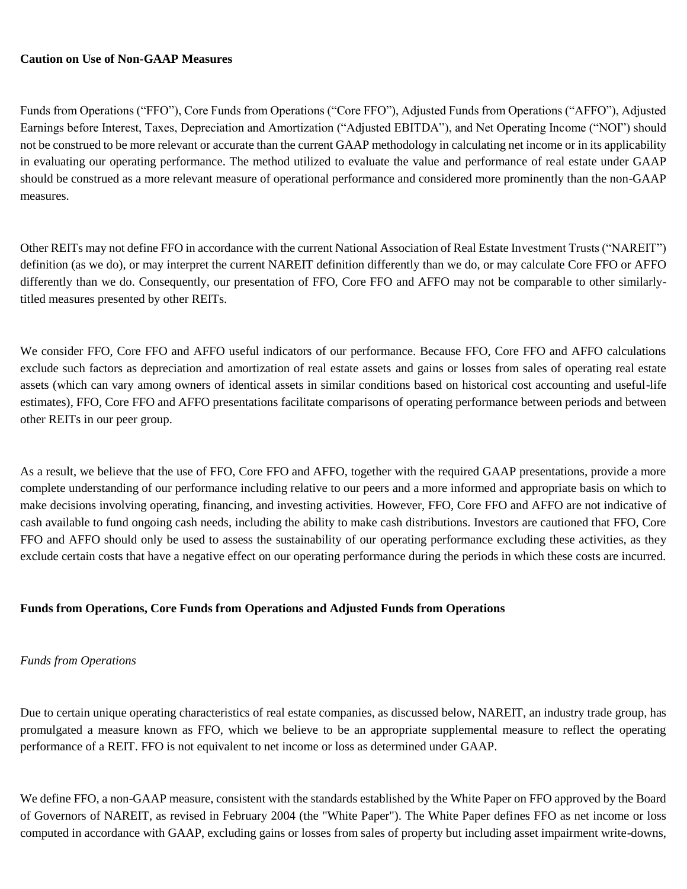# **Caution on Use of Non-GAAP Measures**

Funds from Operations ("FFO"), Core Funds from Operations ("Core FFO"), Adjusted Funds from Operations ("AFFO"), Adjusted Earnings before Interest, Taxes, Depreciation and Amortization ("Adjusted EBITDA"), and Net Operating Income ("NOI") should not be construed to be more relevant or accurate than the current GAAP methodology in calculating net income or in its applicability in evaluating our operating performance. The method utilized to evaluate the value and performance of real estate under GAAP should be construed as a more relevant measure of operational performance and considered more prominently than the non-GAAP measures.

Other REITs may not define FFO in accordance with the current National Association of Real Estate Investment Trusts ("NAREIT") definition (as we do), or may interpret the current NAREIT definition differently than we do, or may calculate Core FFO or AFFO differently than we do. Consequently, our presentation of FFO, Core FFO and AFFO may not be comparable to other similarlytitled measures presented by other REITs.

We consider FFO, Core FFO and AFFO useful indicators of our performance. Because FFO, Core FFO and AFFO calculations exclude such factors as depreciation and amortization of real estate assets and gains or losses from sales of operating real estate assets (which can vary among owners of identical assets in similar conditions based on historical cost accounting and useful-life estimates), FFO, Core FFO and AFFO presentations facilitate comparisons of operating performance between periods and between other REITs in our peer group.

As a result, we believe that the use of FFO, Core FFO and AFFO, together with the required GAAP presentations, provide a more complete understanding of our performance including relative to our peers and a more informed and appropriate basis on which to make decisions involving operating, financing, and investing activities. However, FFO, Core FFO and AFFO are not indicative of cash available to fund ongoing cash needs, including the ability to make cash distributions. Investors are cautioned that FFO, Core FFO and AFFO should only be used to assess the sustainability of our operating performance excluding these activities, as they exclude certain costs that have a negative effect on our operating performance during the periods in which these costs are incurred.

# **Funds from Operations, Core Funds from Operations and Adjusted Funds from Operations**

# *Funds from Operations*

Due to certain unique operating characteristics of real estate companies, as discussed below, NAREIT, an industry trade group, has promulgated a measure known as FFO, which we believe to be an appropriate supplemental measure to reflect the operating performance of a REIT. FFO is not equivalent to net income or loss as determined under GAAP.

We define FFO, a non-GAAP measure, consistent with the standards established by the White Paper on FFO approved by the Board of Governors of NAREIT, as revised in February 2004 (the "White Paper"). The White Paper defines FFO as net income or loss computed in accordance with GAAP, excluding gains or losses from sales of property but including asset impairment write-downs,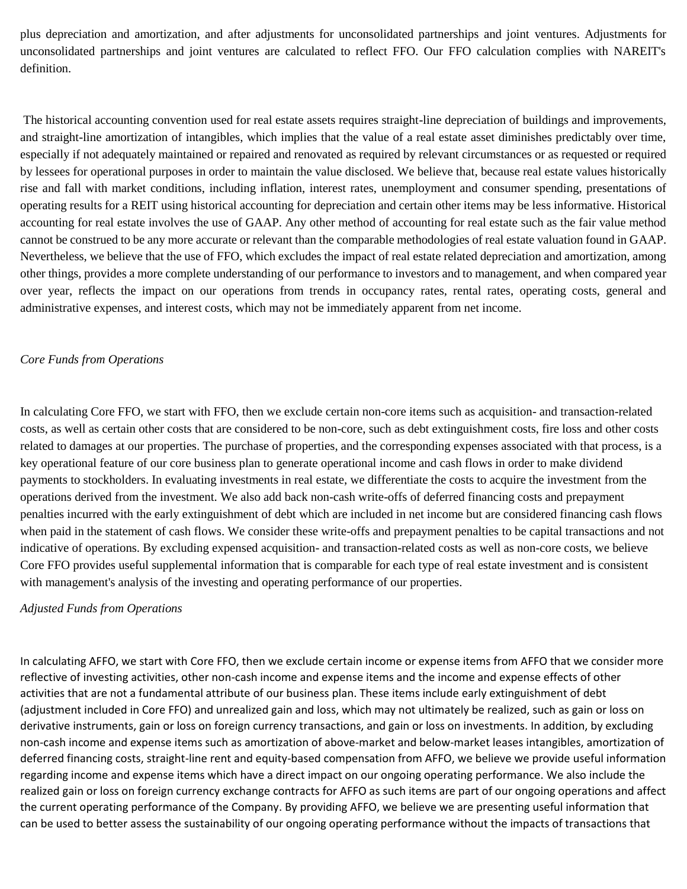plus depreciation and amortization, and after adjustments for unconsolidated partnerships and joint ventures. Adjustments for unconsolidated partnerships and joint ventures are calculated to reflect FFO. Our FFO calculation complies with NAREIT's definition.

The historical accounting convention used for real estate assets requires straight-line depreciation of buildings and improvements, and straight-line amortization of intangibles, which implies that the value of a real estate asset diminishes predictably over time, especially if not adequately maintained or repaired and renovated as required by relevant circumstances or as requested or required by lessees for operational purposes in order to maintain the value disclosed. We believe that, because real estate values historically rise and fall with market conditions, including inflation, interest rates, unemployment and consumer spending, presentations of operating results for a REIT using historical accounting for depreciation and certain other items may be less informative. Historical accounting for real estate involves the use of GAAP. Any other method of accounting for real estate such as the fair value method cannot be construed to be any more accurate or relevant than the comparable methodologies of real estate valuation found in GAAP. Nevertheless, we believe that the use of FFO, which excludes the impact of real estate related depreciation and amortization, among other things, provides a more complete understanding of our performance to investors and to management, and when compared year over year, reflects the impact on our operations from trends in occupancy rates, rental rates, operating costs, general and administrative expenses, and interest costs, which may not be immediately apparent from net income.

# *Core Funds from Operations*

In calculating Core FFO, we start with FFO, then we exclude certain non-core items such as acquisition- and transaction-related costs, as well as certain other costs that are considered to be non-core, such as debt extinguishment costs, fire loss and other costs related to damages at our properties. The purchase of properties, and the corresponding expenses associated with that process, is a key operational feature of our core business plan to generate operational income and cash flows in order to make dividend payments to stockholders. In evaluating investments in real estate, we differentiate the costs to acquire the investment from the operations derived from the investment. We also add back non-cash write-offs of deferred financing costs and prepayment penalties incurred with the early extinguishment of debt which are included in net income but are considered financing cash flows when paid in the statement of cash flows. We consider these write-offs and prepayment penalties to be capital transactions and not indicative of operations. By excluding expensed acquisition- and transaction-related costs as well as non-core costs, we believe Core FFO provides useful supplemental information that is comparable for each type of real estate investment and is consistent with management's analysis of the investing and operating performance of our properties.

# *Adjusted Funds from Operations*

In calculating AFFO, we start with Core FFO, then we exclude certain income or expense items from AFFO that we consider more reflective of investing activities, other non-cash income and expense items and the income and expense effects of other activities that are not a fundamental attribute of our business plan. These items include early extinguishment of debt (adjustment included in Core FFO) and unrealized gain and loss, which may not ultimately be realized, such as gain or loss on derivative instruments, gain or loss on foreign currency transactions, and gain or loss on investments. In addition, by excluding non-cash income and expense items such as amortization of above-market and below-market leases intangibles, amortization of deferred financing costs, straight-line rent and equity-based compensation from AFFO, we believe we provide useful information regarding income and expense items which have a direct impact on our ongoing operating performance. We also include the realized gain or loss on foreign currency exchange contracts for AFFO as such items are part of our ongoing operations and affect the current operating performance of the Company. By providing AFFO, we believe we are presenting useful information that can be used to better assess the sustainability of our ongoing operating performance without the impacts of transactions that